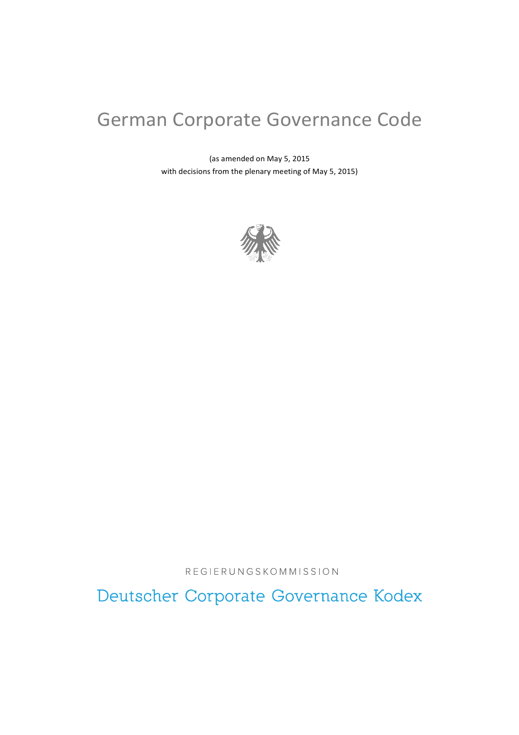# German Corporate Governance Code

(as amended on May 5, 2015 with decisions from the plenary meeting of May 5, 2015)



REGIERUNGSKOMMISSION

Deutscher Corporate Governance Kodex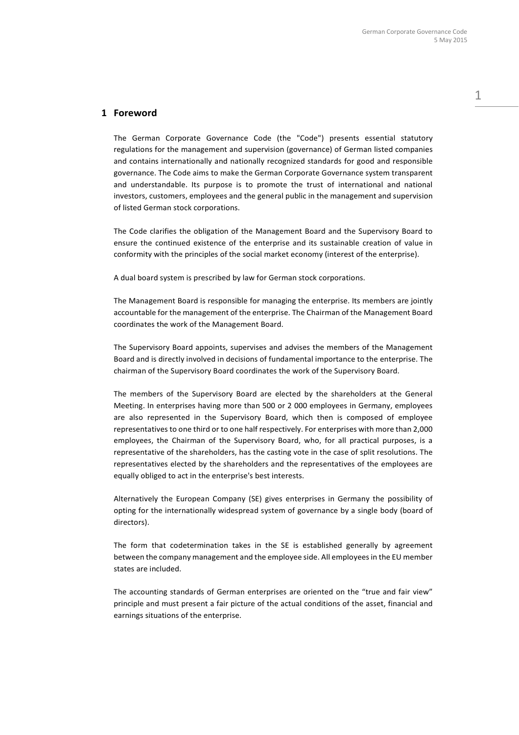## **1 Foreword**

The German Corporate Governance Code (the "Code") presents essential statutory regulations for the management and supervision (governance) of German listed companies and contains internationally and nationally recognized standards for good and responsible governance. The Code aims to make the German Corporate Governance system transparent and understandable. Its purpose is to promote the trust of international and national investors, customers, employees and the general public in the management and supervision of listed German stock corporations.

The Code clarifies the obligation of the Management Board and the Supervisory Board to ensure the continued existence of the enterprise and its sustainable creation of value in conformity with the principles of the social market economy (interest of the enterprise).

A dual board system is prescribed by law for German stock corporations.

The Management Board is responsible for managing the enterprise. Its members are jointly accountable for the management of the enterprise. The Chairman of the Management Board coordinates the work of the Management Board.

The Supervisory Board appoints, supervises and advises the members of the Management Board and is directly involved in decisions of fundamental importance to the enterprise. The chairman of the Supervisory Board coordinates the work of the Supervisory Board.

The members of the Supervisory Board are elected by the shareholders at the General Meeting. In enterprises having more than 500 or 2 000 employees in Germany, employees are also represented in the Supervisory Board, which then is composed of employee representatives to one third or to one half respectively. For enterprises with more than 2,000 employees, the Chairman of the Supervisory Board, who, for all practical purposes, is a representative of the shareholders, has the casting vote in the case of split resolutions. The representatives elected by the shareholders and the representatives of the employees are equally obliged to act in the enterprise's best interests.

Alternatively the European Company (SE) gives enterprises in Germany the possibility of opting for the internationally widespread system of governance by a single body (board of directors).

The form that codetermination takes in the SE is established generally by agreement between the company management and the employee side. All employees in the EU member states are included.

The accounting standards of German enterprises are oriented on the "true and fair view" principle and must present a fair picture of the actual conditions of the asset, financial and earnings situations of the enterprise.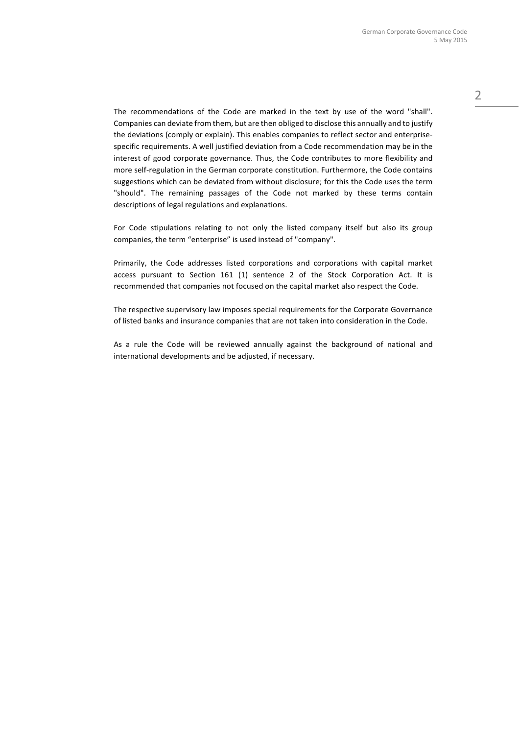The recommendations of the Code are marked in the text by use of the word "shall". Companies can deviate from them, but are then obliged to disclose this annually and to justify the deviations (comply or explain). This enables companies to reflect sector and enterprisespecific requirements. A well justified deviation from a Code recommendation may be in the interest of good corporate governance. Thus, the Code contributes to more flexibility and more self-regulation in the German corporate constitution. Furthermore, the Code contains suggestions which can be deviated from without disclosure; for this the Code uses the term "should". The remaining passages of the Code not marked by these terms contain descriptions of legal regulations and explanations.

For Code stipulations relating to not only the listed company itself but also its group companies, the term "enterprise" is used instead of "company".

Primarily, the Code addresses listed corporations and corporations with capital market access pursuant to Section 161 (1) sentence 2 of the Stock Corporation Act. It is recommended that companies not focused on the capital market also respect the Code.

The respective supervisory law imposes special requirements for the Corporate Governance of listed banks and insurance companies that are not taken into consideration in the Code.

As a rule the Code will be reviewed annually against the background of national and international developments and be adjusted, if necessary.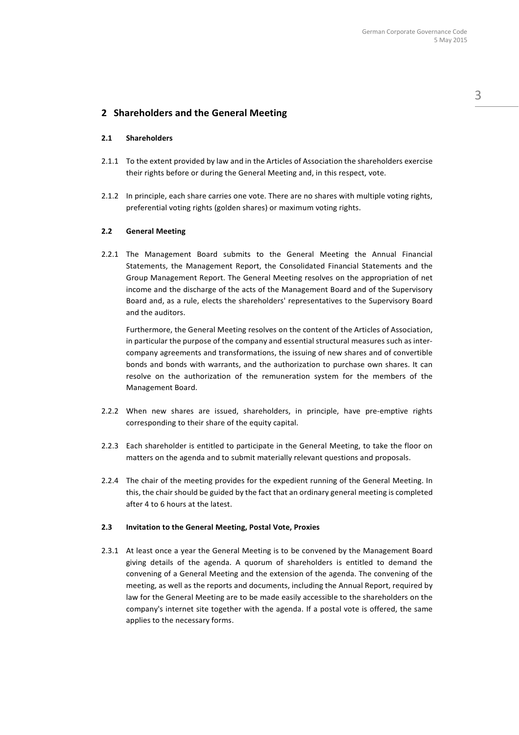## **2 Shareholders and the General Meeting**

### **2.1 Shareholders**

- 2.1.1 To the extent provided by law and in the Articles of Association the shareholders exercise their rights before or during the General Meeting and, in this respect, vote.
- 2.1.2 In principle, each share carries one vote. There are no shares with multiple voting rights, preferential voting rights (golden shares) or maximum voting rights.

#### **2.2 General Meeting**

2.2.1 The Management Board submits to the General Meeting the Annual Financial Statements, the Management Report, the Consolidated Financial Statements and the Group Management Report. The General Meeting resolves on the appropriation of net income and the discharge of the acts of the Management Board and of the Supervisory Board and, as a rule, elects the shareholders' representatives to the Supervisory Board and the auditors.

Furthermore, the General Meeting resolves on the content of the Articles of Association, in particular the purpose of the company and essential structural measures such as intercompany agreements and transformations, the issuing of new shares and of convertible bonds and bonds with warrants, and the authorization to purchase own shares. It can resolve on the authorization of the remuneration system for the members of the Management Board.

- 2.2.2 When new shares are issued, shareholders, in principle, have pre-emptive rights corresponding to their share of the equity capital.
- 2.2.3 Each shareholder is entitled to participate in the General Meeting, to take the floor on matters on the agenda and to submit materially relevant questions and proposals.
- 2.2.4 The chair of the meeting provides for the expedient running of the General Meeting. In this, the chair should be guided by the fact that an ordinary general meeting is completed after 4 to 6 hours at the latest.

## **2.3 Invitation to the General Meeting, Postal Vote, Proxies**

2.3.1 At least once a year the General Meeting is to be convened by the Management Board giving details of the agenda. A quorum of shareholders is entitled to demand the convening of a General Meeting and the extension of the agenda. The convening of the meeting, as well as the reports and documents, including the Annual Report, required by law for the General Meeting are to be made easily accessible to the shareholders on the company's internet site together with the agenda. If a postal vote is offered, the same applies to the necessary forms.

3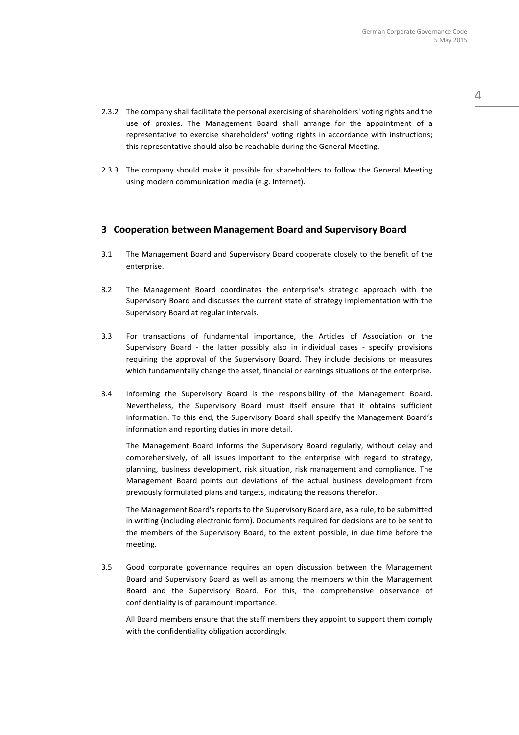- 2.3.2 The company shall facilitate the personal exercising of shareholders' voting rights and the use of proxies. The Management Board shall arrange for the appointment of a representative to exercise shareholders' voting rights in accordance with instructions; this representative should also be reachable during the General Meeting.
- 2.3.3 The company should make it possible for shareholders to follow the General Meeting using modern communication media (e.g. Internet).

## **3 Cooperation between Management Board and Supervisory Board**

- 3.1 The Management Board and Supervisory Board cooperate closely to the benefit of the enterprise.
- 3.2 The Management Board coordinates the enterprise's strategic approach with the Supervisory Board and discusses the current state of strategy implementation with the Supervisory Board at regular intervals.
- 3.3 For transactions of fundamental importance, the Articles of Association or the Supervisory Board - the latter possibly also in individual cases - specify provisions requiring the approval of the Supervisory Board. They include decisions or measures which fundamentally change the asset, financial or earnings situations of the enterprise.
- 3.4 Informing the Supervisory Board is the responsibility of the Management Board. Nevertheless, the Supervisory Board must itself ensure that it obtains sufficient information. To this end, the Supervisory Board shall specify the Management Board's information and reporting duties in more detail.

The Management Board informs the Supervisory Board regularly, without delay and comprehensively, of all issues important to the enterprise with regard to strategy, planning, business development, risk situation, risk management and compliance. The Management Board points out deviations of the actual business development from previously formulated plans and targets, indicating the reasons therefor.

The Management Board's reports to the Supervisory Board are, as a rule, to be submitted in writing (including electronic form). Documents required for decisions are to be sent to the members of the Supervisory Board, to the extent possible, in due time before the meeting.

3.5 Good corporate governance requires an open discussion between the Management Board and Supervisory Board as well as among the members within the Management Board and the Supervisory Board. For this, the comprehensive observance of confidentiality is of paramount importance.

All Board members ensure that the staff members they appoint to support them comply with the confidentiality obligation accordingly.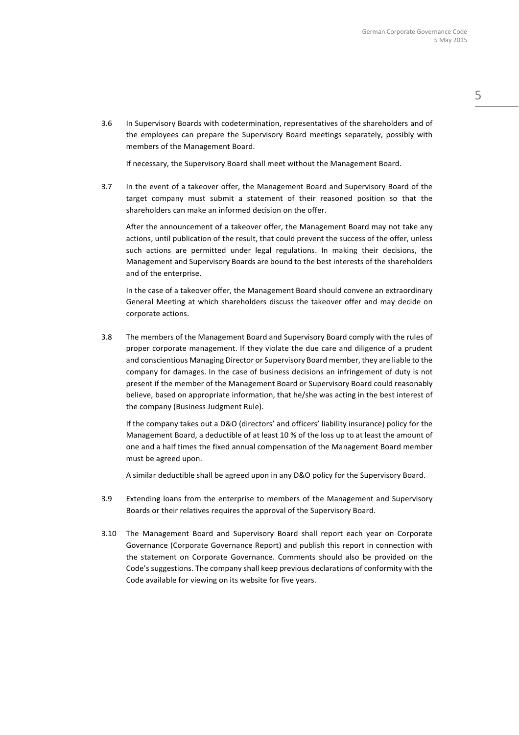3.6 In Supervisory Boards with codetermination, representatives of the shareholders and of the employees can prepare the Supervisory Board meetings separately, possibly with members of the Management Board.

If necessary, the Supervisory Board shall meet without the Management Board.

3.7 In the event of a takeover offer, the Management Board and Supervisory Board of the target company must submit a statement of their reasoned position so that the shareholders can make an informed decision on the offer.

After the announcement of a takeover offer, the Management Board may not take any actions, until publication of the result, that could prevent the success of the offer, unless such actions are permitted under legal regulations. In making their decisions, the Management and Supervisory Boards are bound to the best interests of the shareholders and of the enterprise.

In the case of a takeover offer, the Management Board should convene an extraordinary General Meeting at which shareholders discuss the takeover offer and may decide on corporate actions.

3.8 The members of the Management Board and Supervisory Board comply with the rules of proper corporate management. If they violate the due care and diligence of a prudent and conscientious Managing Director or Supervisory Board member, they are liable to the company for damages. In the case of business decisions an infringement of duty is not present if the member of the Management Board or Supervisory Board could reasonably believe, based on appropriate information, that he/she was acting in the best interest of the company (Business Judgment Rule).

If the company takes out a D&O (directors' and officers' liability insurance) policy for the Management Board, a deductible of at least 10 % of the loss up to at least the amount of one and a half times the fixed annual compensation of the Management Board member must be agreed upon.

A similar deductible shall be agreed upon in any D&O policy for the Supervisory Board.

- 3.9 Extending loans from the enterprise to members of the Management and Supervisory Boards or their relatives requires the approval of the Supervisory Board.
- 3.10 The Management Board and Supervisory Board shall report each year on Corporate Governance (Corporate Governance Report) and publish this report in connection with the statement on Corporate Governance. Comments should also be provided on the Code's suggestions. The company shall keep previous declarations of conformity with the Code available for viewing on its website for five years.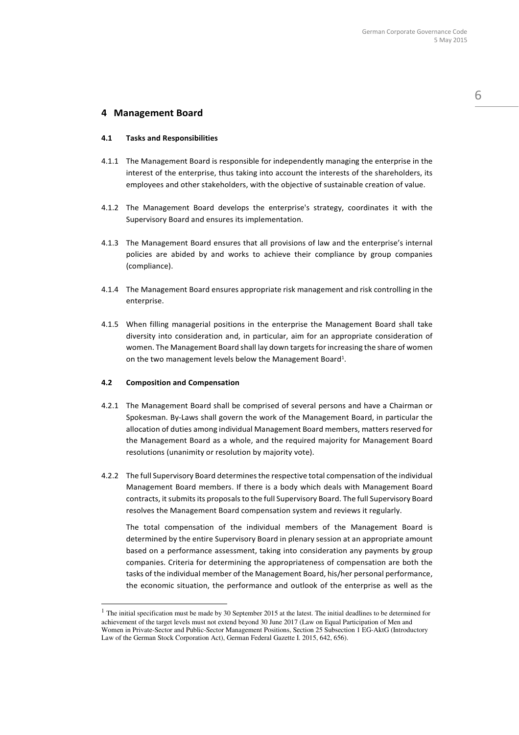## **4 Management Board**

#### **4.1 Tasks and Responsibilities**

- 4.1.1 The Management Board is responsible for independently managing the enterprise in the interest of the enterprise, thus taking into account the interests of the shareholders, its employees and other stakeholders, with the objective of sustainable creation of value.
- 4.1.2 The Management Board develops the enterprise's strategy, coordinates it with the Supervisory Board and ensures its implementation.
- 4.1.3 The Management Board ensures that all provisions of law and the enterprise's internal policies are abided by and works to achieve their compliance by group companies (compliance).
- 4.1.4 The Management Board ensures appropriate risk management and risk controlling in the enterprise.
- 4.1.5 When filling managerial positions in the enterprise the Management Board shall take diversity into consideration and, in particular, aim for an appropriate consideration of women. The Management Board shall lay down targets for increasing the share of women on the two management levels below the Management Board<sup>1</sup>.

#### **4.2 Composition and Compensation**

 $\overline{a}$ 

- 4.2.1 The Management Board shall be comprised of several persons and have a Chairman or Spokesman. By-Laws shall govern the work of the Management Board, in particular the allocation of duties among individual Management Board members, matters reserved for the Management Board as a whole, and the required majority for Management Board resolutions (unanimity or resolution by majority vote).
- 4.2.2 The full Supervisory Board determines the respective total compensation of the individual Management Board members. If there is a body which deals with Management Board contracts, it submits its proposals to the full Supervisory Board. The full Supervisory Board resolves the Management Board compensation system and reviews it regularly.

The total compensation of the individual members of the Management Board is determined by the entire Supervisory Board in plenary session at an appropriate amount based on a performance assessment, taking into consideration any payments by group companies. Criteria for determining the appropriateness of compensation are both the tasks of the individual member of the Management Board, his/her personal performance, the economic situation, the performance and outlook of the enterprise as well as the 6

 $1$  The initial specification must be made by 30 September 2015 at the latest. The initial deadlines to be determined for achievement of the target levels must not extend beyond 30 June 2017 (Law on Equal Participation of Men and Women in Private-Sector and Public-Sector Management Positions, Section 25 Subsection 1 EG-AktG (Introductory Law of the German Stock Corporation Act), German Federal Gazette I. 2015, 642, 656).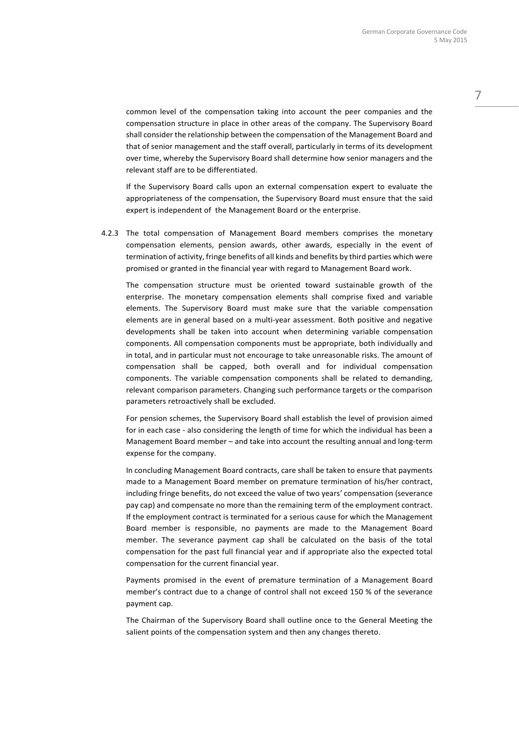common level of the compensation taking into account the peer companies and the compensation structure in place in other areas of the company. The Supervisory Board shall consider the relationship between the compensation of the Management Board and that of senior management and the staff overall, particularly in terms of its development over time, whereby the Supervisory Board shall determine how senior managers and the relevant staff are to be differentiated.

If the Supervisory Board calls upon an external compensation expert to evaluate the appropriateness of the compensation, the Supervisory Board must ensure that the said expert is independent of the Management Board or the enterprise.

4.2.3 The total compensation of Management Board members comprises the monetary compensation elements, pension awards, other awards, especially in the event of termination of activity, fringe benefits of all kinds and benefits by third parties which were promised or granted in the financial year with regard to Management Board work.

The compensation structure must be oriented toward sustainable growth of the enterprise. The monetary compensation elements shall comprise fixed and variable elements. The Supervisory Board must make sure that the variable compensation elements are in general based on a multi-year assessment. Both positive and negative developments shall be taken into account when determining variable compensation components. All compensation components must be appropriate, both individually and in total, and in particular must not encourage to take unreasonable risks. The amount of compensation shall be capped, both overall and for individual compensation components. The variable compensation components shall be related to demanding, relevant comparison parameters. Changing such performance targets or the comparison parameters retroactively shall be excluded.

For pension schemes, the Supervisory Board shall establish the level of provision aimed for in each case - also considering the length of time for which the individual has been a Management Board member – and take into account the resulting annual and long-term expense for the company.

In concluding Management Board contracts, care shall be taken to ensure that payments made to a Management Board member on premature termination of his/her contract, including fringe benefits, do not exceed the value of two years' compensation (severance pay cap) and compensate no more than the remaining term of the employment contract. If the employment contract is terminated for a serious cause for which the Management Board member is responsible, no payments are made to the Management Board member. The severance payment cap shall be calculated on the basis of the total compensation for the past full financial year and if appropriate also the expected total compensation for the current financial year.

Payments promised in the event of premature termination of a Management Board member's contract due to a change of control shall not exceed 150 % of the severance payment cap.

The Chairman of the Supervisory Board shall outline once to the General Meeting the salient points of the compensation system and then any changes thereto.

7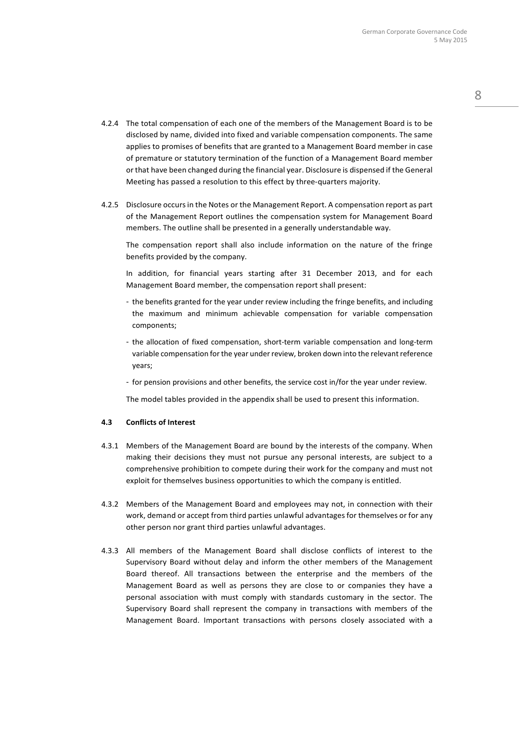- 4.2.4 The total compensation of each one of the members of the Management Board is to be disclosed by name, divided into fixed and variable compensation components. The same applies to promises of benefits that are granted to a Management Board member in case of premature or statutory termination of the function of a Management Board member or that have been changed during the financial year. Disclosure is dispensed if the General Meeting has passed a resolution to this effect by three-quarters majority.
- 4.2.5 Disclosure occurs in the Notes or the Management Report. A compensation report as part of the Management Report outlines the compensation system for Management Board members. The outline shall be presented in a generally understandable way.

The compensation report shall also include information on the nature of the fringe benefits provided by the company.

In addition, for financial years starting after 31 December 2013, and for each Management Board member, the compensation report shall present:

- the benefits granted for the year under review including the fringe benefits, and including the maximum and minimum achievable compensation for variable compensation components;
- the allocation of fixed compensation, short-term variable compensation and long-term variable compensation for the year under review, broken down into the relevant reference years;
- for pension provisions and other benefits, the service cost in/for the year under review.

The model tables provided in the appendix shall be used to present this information.

#### **4.3 Conflicts of Interest**

- 4.3.1 Members of the Management Board are bound by the interests of the company. When making their decisions they must not pursue any personal interests, are subject to a comprehensive prohibition to compete during their work for the company and must not exploit for themselves business opportunities to which the company is entitled.
- 4.3.2 Members of the Management Board and employees may not, in connection with their work, demand or accept from third parties unlawful advantages for themselves or for any other person nor grant third parties unlawful advantages.
- 4.3.3 All members of the Management Board shall disclose conflicts of interest to the Supervisory Board without delay and inform the other members of the Management Board thereof. All transactions between the enterprise and the members of the Management Board as well as persons they are close to or companies they have a personal association with must comply with standards customary in the sector. The Supervisory Board shall represent the company in transactions with members of the Management Board. Important transactions with persons closely associated with a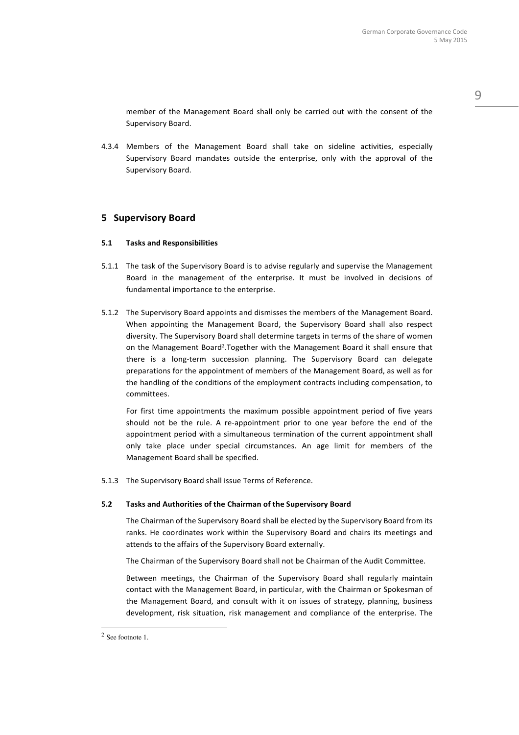9

member of the Management Board shall only be carried out with the consent of the Supervisory Board.

4.3.4 Members of the Management Board shall take on sideline activities, especially Supervisory Board mandates outside the enterprise, only with the approval of the Supervisory Board.

## **5 Supervisory Board**

### **5.1 Tasks and Responsibilities**

- 5.1.1 The task of the Supervisory Board is to advise regularly and supervise the Management Board in the management of the enterprise. It must be involved in decisions of fundamental importance to the enterprise.
- 5.1.2 The Supervisory Board appoints and dismisses the members of the Management Board. When appointing the Management Board, the Supervisory Board shall also respect diversity. The Supervisory Board shall determine targets in terms of the share of women on the Management Board<sup>2</sup>. Together with the Management Board it shall ensure that there is a long-term succession planning. The Supervisory Board can delegate preparations for the appointment of members of the Management Board, as well as for the handling of the conditions of the employment contracts including compensation, to committees.

For first time appointments the maximum possible appointment period of five years should not be the rule. A re-appointment prior to one year before the end of the appointment period with a simultaneous termination of the current appointment shall only take place under special circumstances. An age limit for members of the Management Board shall be specified.

5.1.3 The Supervisory Board shall issue Terms of Reference.

### **5.2 Tasks and Authorities of the Chairman of the Supervisory Board**

The Chairman of the Supervisory Board shall be elected by the Supervisory Board from its ranks. He coordinates work within the Supervisory Board and chairs its meetings and attends to the affairs of the Supervisory Board externally.

The Chairman of the Supervisory Board shall not be Chairman of the Audit Committee.

Between meetings, the Chairman of the Supervisory Board shall regularly maintain contact with the Management Board, in particular, with the Chairman or Spokesman of the Management Board, and consult with it on issues of strategy, planning, business development, risk situation, risk management and compliance of the enterprise. The

 2 See footnote 1.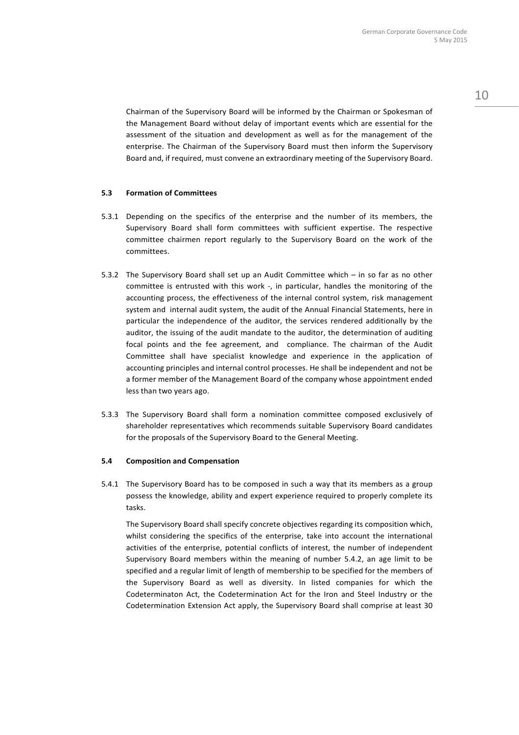Chairman of the Supervisory Board will be informed by the Chairman or Spokesman of the Management Board without delay of important events which are essential for the assessment of the situation and development as well as for the management of the enterprise. The Chairman of the Supervisory Board must then inform the Supervisory Board and, if required, must convene an extraordinary meeting of the Supervisory Board.

#### **5.3 Formation of Committees**

- 5.3.1 Depending on the specifics of the enterprise and the number of its members, the Supervisory Board shall form committees with sufficient expertise. The respective committee chairmen report regularly to the Supervisory Board on the work of the committees.
- 5.3.2 The Supervisory Board shall set up an Audit Committee which in so far as no other committee is entrusted with this work -, in particular, handles the monitoring of the accounting process, the effectiveness of the internal control system, risk management system and internal audit system, the audit of the Annual Financial Statements, here in particular the independence of the auditor, the services rendered additionally by the auditor, the issuing of the audit mandate to the auditor, the determination of auditing focal points and the fee agreement, and compliance. The chairman of the Audit Committee shall have specialist knowledge and experience in the application of accounting principles and internal control processes. He shall be independent and not be a former member of the Management Board of the company whose appointment ended less than two years ago.
- 5.3.3 The Supervisory Board shall form a nomination committee composed exclusively of shareholder representatives which recommends suitable Supervisory Board candidates for the proposals of the Supervisory Board to the General Meeting.

#### **5.4 Composition and Compensation**

5.4.1 The Supervisory Board has to be composed in such a way that its members as a group possess the knowledge, ability and expert experience required to properly complete its tasks.

The Supervisory Board shall specify concrete objectives regarding its composition which, whilst considering the specifics of the enterprise, take into account the international activities of the enterprise, potential conflicts of interest, the number of independent Supervisory Board members within the meaning of number 5.4.2, an age limit to be specified and a regular limit of length of membership to be specified for the members of the Supervisory Board as well as diversity. In listed companies for which the Codeterminaton Act, the Codetermination Act for the Iron and Steel Industry or the Codetermination Extension Act apply, the Supervisory Board shall comprise at least 30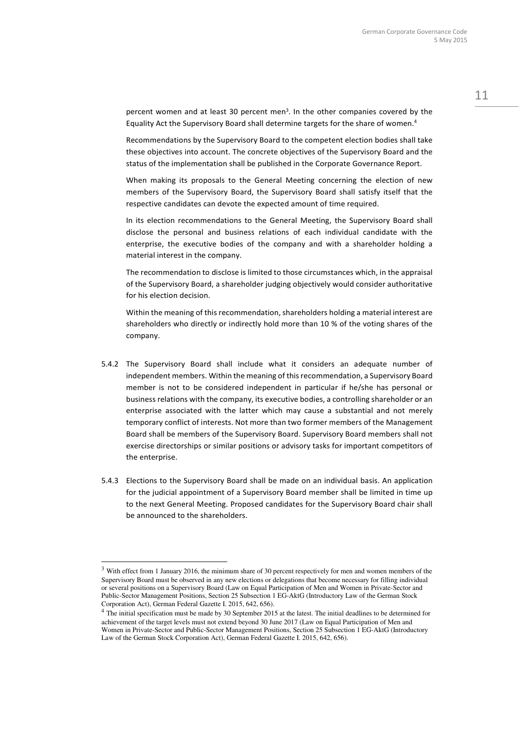percent women and at least 30 percent men<sup>3</sup>. In the other companies covered by the Equality Act the Supervisory Board shall determine targets for the share of women.<sup>4</sup>

Recommendations by the Supervisory Board to the competent election bodies shall take these objectives into account. The concrete objectives of the Supervisory Board and the status of the implementation shall be published in the Corporate Governance Report.

When making its proposals to the General Meeting concerning the election of new members of the Supervisory Board, the Supervisory Board shall satisfy itself that the respective candidates can devote the expected amount of time required.

In its election recommendations to the General Meeting, the Supervisory Board shall disclose the personal and business relations of each individual candidate with the enterprise, the executive bodies of the company and with a shareholder holding a material interest in the company.

The recommendation to disclose is limited to those circumstances which, in the appraisal of the Supervisory Board, a shareholder judging objectively would consider authoritative for his election decision.

Within the meaning of this recommendation, shareholders holding a material interest are shareholders who directly or indirectly hold more than 10 % of the voting shares of the company.

- 5.4.2 The Supervisory Board shall include what it considers an adequate number of independent members. Within the meaning of this recommendation, a Supervisory Board member is not to be considered independent in particular if he/she has personal or business relations with the company, its executive bodies, a controlling shareholder or an enterprise associated with the latter which may cause a substantial and not merely temporary conflict of interests. Not more than two former members of the Management Board shall be members of the Supervisory Board. Supervisory Board members shall not exercise directorships or similar positions or advisory tasks for important competitors of the enterprise.
- 5.4.3 Elections to the Supervisory Board shall be made on an individual basis. An application for the judicial appointment of a Supervisory Board member shall be limited in time up to the next General Meeting. Proposed candidates for the Supervisory Board chair shall be announced to the shareholders.

 $\overline{a}$ 

<sup>3</sup> With effect from 1 January 2016, the minimum share of 30 percent respectively for men and women members of the Supervisory Board must be observed in any new elections or delegations that become necessary for filling individual or several positions on a Supervisory Board (Law on Equal Participation of Men and Women in Private-Sector and Public-Sector Management Positions, Section 25 Subsection 1 EG-AktG (Introductory Law of the German Stock Corporation Act), German Federal Gazette I. 2015, 642, 656).

<sup>4</sup> The initial specification must be made by 30 September 2015 at the latest. The initial deadlines to be determined for achievement of the target levels must not extend beyond 30 June 2017 (Law on Equal Participation of Men and Women in Private-Sector and Public-Sector Management Positions, Section 25 Subsection 1 EG-AktG (Introductory Law of the German Stock Corporation Act), German Federal Gazette I. 2015, 642, 656).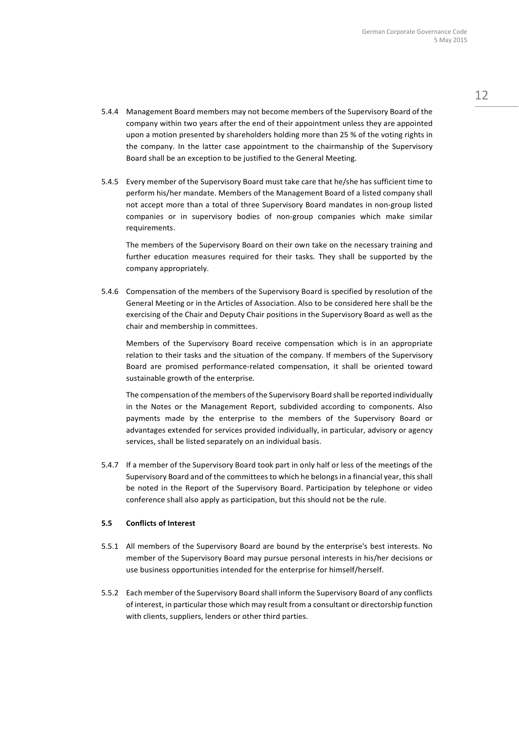- 5.4.4 Management Board members may not become members of the Supervisory Board of the company within two years after the end of their appointment unless they are appointed upon a motion presented by shareholders holding more than 25 % of the voting rights in the company. In the latter case appointment to the chairmanship of the Supervisory Board shall be an exception to be justified to the General Meeting.
- 5.4.5 Every member of the Supervisory Board must take care that he/she has sufficient time to perform his/her mandate. Members of the Management Board of a listed company shall not accept more than a total of three Supervisory Board mandates in non-group listed companies or in supervisory bodies of non-group companies which make similar requirements.

The members of the Supervisory Board on their own take on the necessary training and further education measures required for their tasks. They shall be supported by the company appropriately.

5.4.6 Compensation of the members of the Supervisory Board is specified by resolution of the General Meeting or in the Articles of Association. Also to be considered here shall be the exercising of the Chair and Deputy Chair positions in the Supervisory Board as well as the chair and membership in committees.

Members of the Supervisory Board receive compensation which is in an appropriate relation to their tasks and the situation of the company. If members of the Supervisory Board are promised performance-related compensation, it shall be oriented toward sustainable growth of the enterprise.

The compensation of the members of the Supervisory Board shall be reported individually in the Notes or the Management Report, subdivided according to components. Also payments made by the enterprise to the members of the Supervisory Board or advantages extended for services provided individually, in particular, advisory or agency services, shall be listed separately on an individual basis.

5.4.7 If a member of the Supervisory Board took part in only half or less of the meetings of the Supervisory Board and of the committees to which he belongs in a financial year, this shall be noted in the Report of the Supervisory Board. Participation by telephone or video conference shall also apply as participation, but this should not be the rule.

### **5.5 Conflicts of Interest**

- 5.5.1 All members of the Supervisory Board are bound by the enterprise's best interests. No member of the Supervisory Board may pursue personal interests in his/her decisions or use business opportunities intended for the enterprise for himself/herself.
- 5.5.2 Each member of the Supervisory Board shall inform the Supervisory Board of any conflicts of interest, in particular those which may result from a consultant or directorship function with clients, suppliers, lenders or other third parties.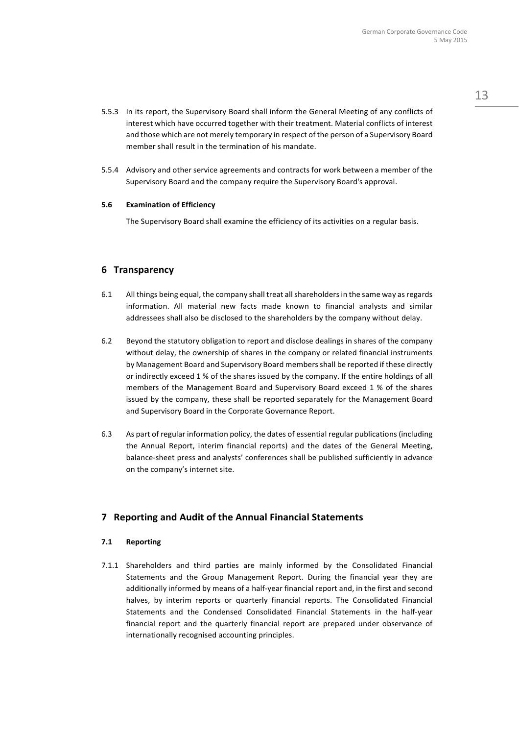- 5.5.3 In its report, the Supervisory Board shall inform the General Meeting of any conflicts of interest which have occurred together with their treatment. Material conflicts of interest and those which are not merely temporary in respect of the person of a Supervisory Board member shall result in the termination of his mandate.
- 5.5.4 Advisory and other service agreements and contracts for work between a member of the Supervisory Board and the company require the Supervisory Board's approval.

### **5.6 Examination of Efficiency**

The Supervisory Board shall examine the efficiency of its activities on a regular basis.

## **6 Transparency**

- 6.1 All things being equal, the company shall treat all shareholders in the same way as regards information. All material new facts made known to financial analysts and similar addressees shall also be disclosed to the shareholders by the company without delay.
- 6.2 Beyond the statutory obligation to report and disclose dealings in shares of the company without delay, the ownership of shares in the company or related financial instruments by Management Board and Supervisory Board members shall be reported if these directly or indirectly exceed 1 % of the shares issued by the company. If the entire holdings of all members of the Management Board and Supervisory Board exceed 1 % of the shares issued by the company, these shall be reported separately for the Management Board and Supervisory Board in the Corporate Governance Report.
- 6.3 As part of regular information policy, the dates of essential regular publications (including the Annual Report, interim financial reports) and the dates of the General Meeting, balance-sheet press and analysts' conferences shall be published sufficiently in advance on the company's internet site.

## **7 Reporting and Audit of the Annual Financial Statements**

### **7.1 Reporting**

7.1.1 Shareholders and third parties are mainly informed by the Consolidated Financial Statements and the Group Management Report. During the financial year they are additionally informed by means of a half-year financial report and, in the first and second halves, by interim reports or quarterly financial reports. The Consolidated Financial Statements and the Condensed Consolidated Financial Statements in the half-year financial report and the quarterly financial report are prepared under observance of internationally recognised accounting principles.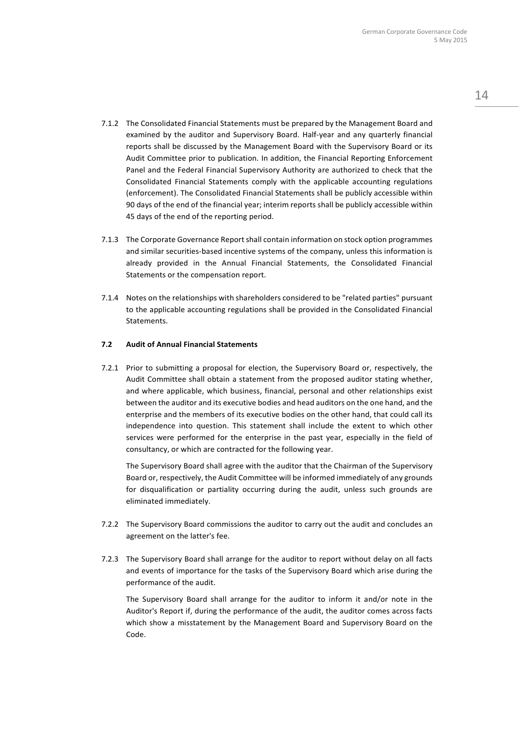- 7.1.2 The Consolidated Financial Statements must be prepared by the Management Board and examined by the auditor and Supervisory Board. Half-year and any quarterly financial reports shall be discussed by the Management Board with the Supervisory Board or its Audit Committee prior to publication. In addition, the Financial Reporting Enforcement Panel and the Federal Financial Supervisory Authority are authorized to check that the Consolidated Financial Statements comply with the applicable accounting regulations (enforcement). The Consolidated Financial Statements shall be publicly accessible within 90 days of the end of the financial year; interim reports shall be publicly accessible within 45 days of the end of the reporting period.
- 7.1.3 The Corporate Governance Report shall contain information on stock option programmes and similar securities-based incentive systems of the company, unless this information is already provided in the Annual Financial Statements, the Consolidated Financial Statements or the compensation report.
- 7.1.4 Notes on the relationships with shareholders considered to be "related parties" pursuant to the applicable accounting regulations shall be provided in the Consolidated Financial Statements.

#### **7.2 Audit of Annual Financial Statements**

7.2.1 Prior to submitting a proposal for election, the Supervisory Board or, respectively, the Audit Committee shall obtain a statement from the proposed auditor stating whether, and where applicable, which business, financial, personal and other relationships exist between the auditor and its executive bodies and head auditors on the one hand, and the enterprise and the members of its executive bodies on the other hand, that could call its independence into question. This statement shall include the extent to which other services were performed for the enterprise in the past year, especially in the field of consultancy, or which are contracted for the following year.

The Supervisory Board shall agree with the auditor that the Chairman of the Supervisory Board or, respectively, the Audit Committee will be informed immediately of any grounds for disqualification or partiality occurring during the audit, unless such grounds are eliminated immediately.

- 7.2.2 The Supervisory Board commissions the auditor to carry out the audit and concludes an agreement on the latter's fee.
- 7.2.3 The Supervisory Board shall arrange for the auditor to report without delay on all facts and events of importance for the tasks of the Supervisory Board which arise during the performance of the audit.

The Supervisory Board shall arrange for the auditor to inform it and/or note in the Auditor's Report if, during the performance of the audit, the auditor comes across facts which show a misstatement by the Management Board and Supervisory Board on the Code.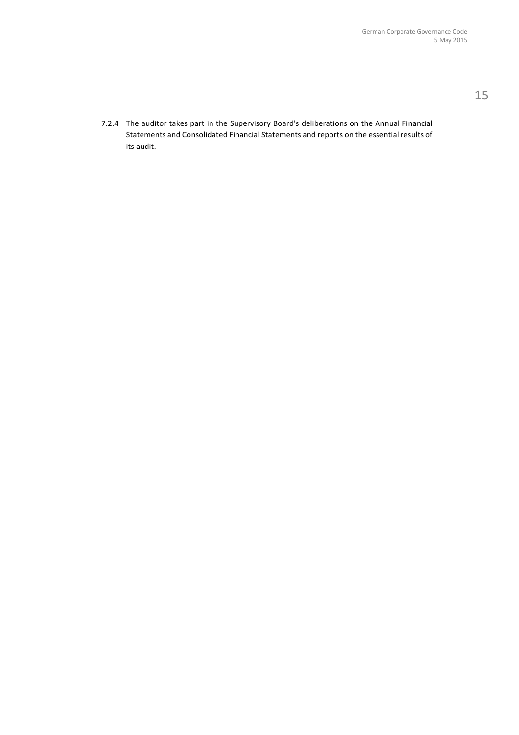7.2.4 The auditor takes part in the Supervisory Board's deliberations on the Annual Financial Statements and Consolidated Financial Statements and reports on the essential results of its audit.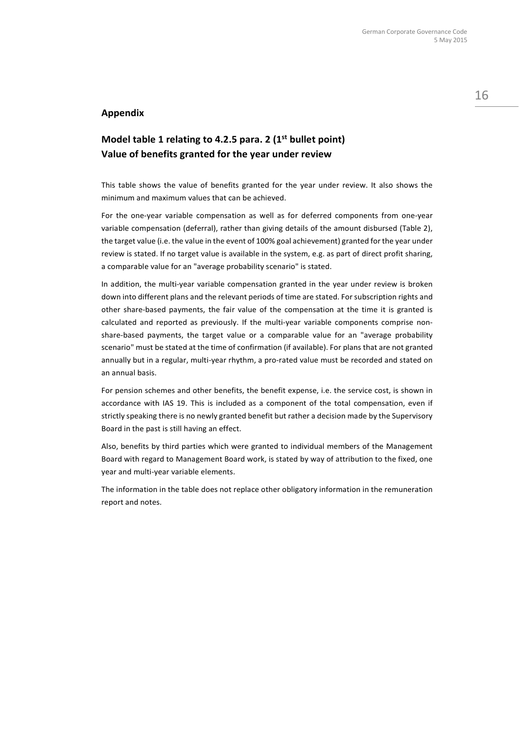## **Appendix**

## **Model table 1 relating to 4.2.5 para. 2 (1st bullet point) Value of benefits granted for the year under review**

This table shows the value of benefits granted for the year under review. It also shows the minimum and maximum values that can be achieved.

For the one-year variable compensation as well as for deferred components from one-year variable compensation (deferral), rather than giving details of the amount disbursed (Table 2), the target value (i.e. the value in the event of 100% goal achievement) granted for the year under review is stated. If no target value is available in the system, e.g. as part of direct profit sharing, a comparable value for an "average probability scenario" is stated.

In addition, the multi-year variable compensation granted in the year under review is broken down into different plans and the relevant periods of time are stated. For subscription rights and other share-based payments, the fair value of the compensation at the time it is granted is calculated and reported as previously. If the multi-year variable components comprise nonshare-based payments, the target value or a comparable value for an "average probability scenario" must be stated at the time of confirmation (if available). For plans that are not granted annually but in a regular, multi-year rhythm, a pro-rated value must be recorded and stated on an annual basis.

For pension schemes and other benefits, the benefit expense, i.e. the service cost, is shown in accordance with IAS 19. This is included as a component of the total compensation, even if strictly speaking there is no newly granted benefit but rather a decision made by the Supervisory Board in the past is still having an effect.

Also, benefits by third parties which were granted to individual members of the Management Board with regard to Management Board work, is stated by way of attribution to the fixed, one year and multi-year variable elements.

The information in the table does not replace other obligatory information in the remuneration report and notes.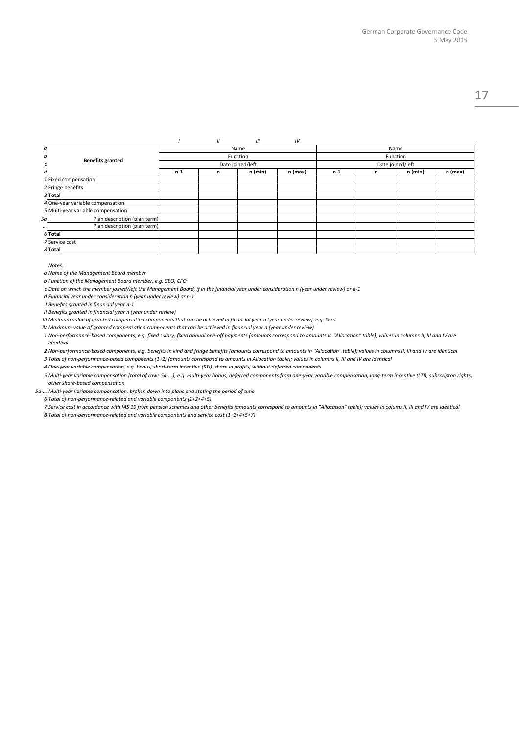#### *I II III IV*

| a   |                                    | Name<br>Function<br>Date joined/left |   |         |         | Name<br>Function |   |         |         |
|-----|------------------------------------|--------------------------------------|---|---------|---------|------------------|---|---------|---------|
| bl  | <b>Benefits granted</b>            |                                      |   |         |         |                  |   |         |         |
|     |                                    |                                      |   |         |         | Date joined/left |   |         |         |
| d   |                                    | $n-1$                                | n | n (min) | n (max) | $n-1$            | n | n (min) | n (max) |
|     | $1$ Fixed compensation             |                                      |   |         |         |                  |   |         |         |
|     | 2 Fringe benefits                  |                                      |   |         |         |                  |   |         |         |
|     | 3Total                             |                                      |   |         |         |                  |   |         |         |
|     | 4 One-year variable compensation   |                                      |   |         |         |                  |   |         |         |
|     | 5 Multi-year variable compensation |                                      |   |         |         |                  |   |         |         |
| 5al | Plan description (plan term)       |                                      |   |         |         |                  |   |         |         |
|     | Plan description (plan term)       |                                      |   |         |         |                  |   |         |         |
|     | 6Total                             |                                      |   |         |         |                  |   |         |         |
|     | 7 Service cost                     |                                      |   |         |         |                  |   |         |         |
|     | 8Total                             |                                      |   |         |         |                  |   |         |         |

*Notes:*

*a Name of the Management Board member*

*b Function of the Management Board member, e.g. CEO, CFO*

c Date on which the member joined/left the Management Board, if in the financial year under consideration n (year under review) or n-1

*d Financial year under consideration n (year under review) or n-1*

*I Benefits granted in financial year n-1*

*II Benefits granted in financial year n (year under review)*

III Minimum value of granted compensation components that can be achieved in financial year n (year under review), e.g. Zero

IV Maximum value of granted compensation components that can be achieved in financial year n (year under review)

1 Non-performance-based components, e.g. fixed salary, fixed annual one-off payments (amounts correspond to amounts in "Allocation" table); values in columns II, III and IV are *identical*

2 Non-performance-based components, e.g. benefits in kind and fringe benefits (amounts correspond to amounts in "Allocation" table); values in columns II, III and IV are identical

3 Total of non-performance-based components (1+2) (amounts correspond to amounts in Allocation table); values in columns II, III and IV are identical

*4 One-year variable compensation, e.g. bonus, short-term incentive (STI), share in profits, without deferred components*

5 Multi-year variable compensation (total of rows 5a-...), e.g. multi-year bonus, deferred components from one-year variable compensation, long-term incentive (LTI), subscripton rights, *other share-based compensation*

*5a-… Multi-year variable compensation, broken down into plans and stating the period of time*

*6 Total of non-performance-related and variable components (1+2+4+5)*

7 Service cost in accordance with IAS 19 from pension schemes and other benefits (amounts correspond to amounts in "Allocation" table); values in colums II, III and IV are identical *8 Total of non-performance-related and variable components and service cost (1+2+4+5+7)*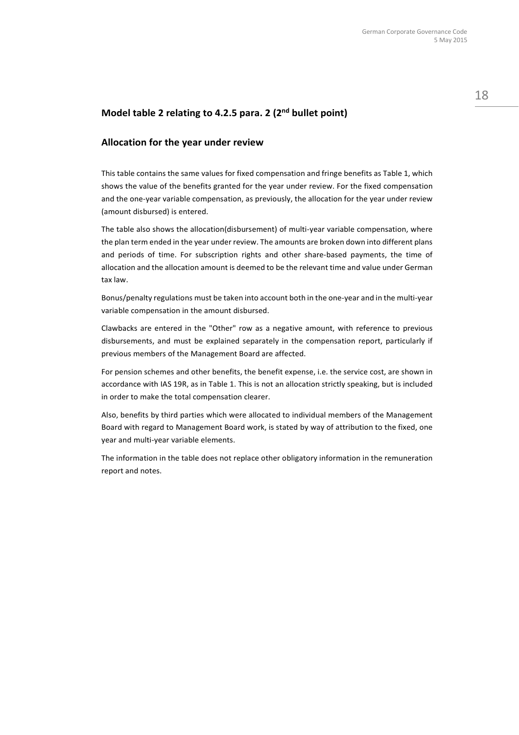## **Model table 2 relating to 4.2.5 para. 2 (2nd bullet point)**

## **Allocation for the year under review**

This table contains the same values for fixed compensation and fringe benefits as Table 1, which shows the value of the benefits granted for the year under review. For the fixed compensation and the one-year variable compensation, as previously, the allocation for the year under review (amount disbursed) is entered.

The table also shows the allocation(disbursement) of multi-year variable compensation, where the plan term ended in the year under review. The amounts are broken down into different plans and periods of time. For subscription rights and other share-based payments, the time of allocation and the allocation amount is deemed to be the relevant time and value under German tax law.

Bonus/penalty regulations must be taken into account both in the one-year and in the multi-year variable compensation in the amount disbursed.

Clawbacks are entered in the "Other" row as a negative amount, with reference to previous disbursements, and must be explained separately in the compensation report, particularly if previous members of the Management Board are affected.

For pension schemes and other benefits, the benefit expense, i.e. the service cost, are shown in accordance with IAS 19R, as in Table 1. This is not an allocation strictly speaking, but is included in order to make the total compensation clearer.

Also, benefits by third parties which were allocated to individual members of the Management Board with regard to Management Board work, is stated by way of attribution to the fixed, one year and multi-year variable elements.

The information in the table does not replace other obligatory information in the remuneration report and notes.